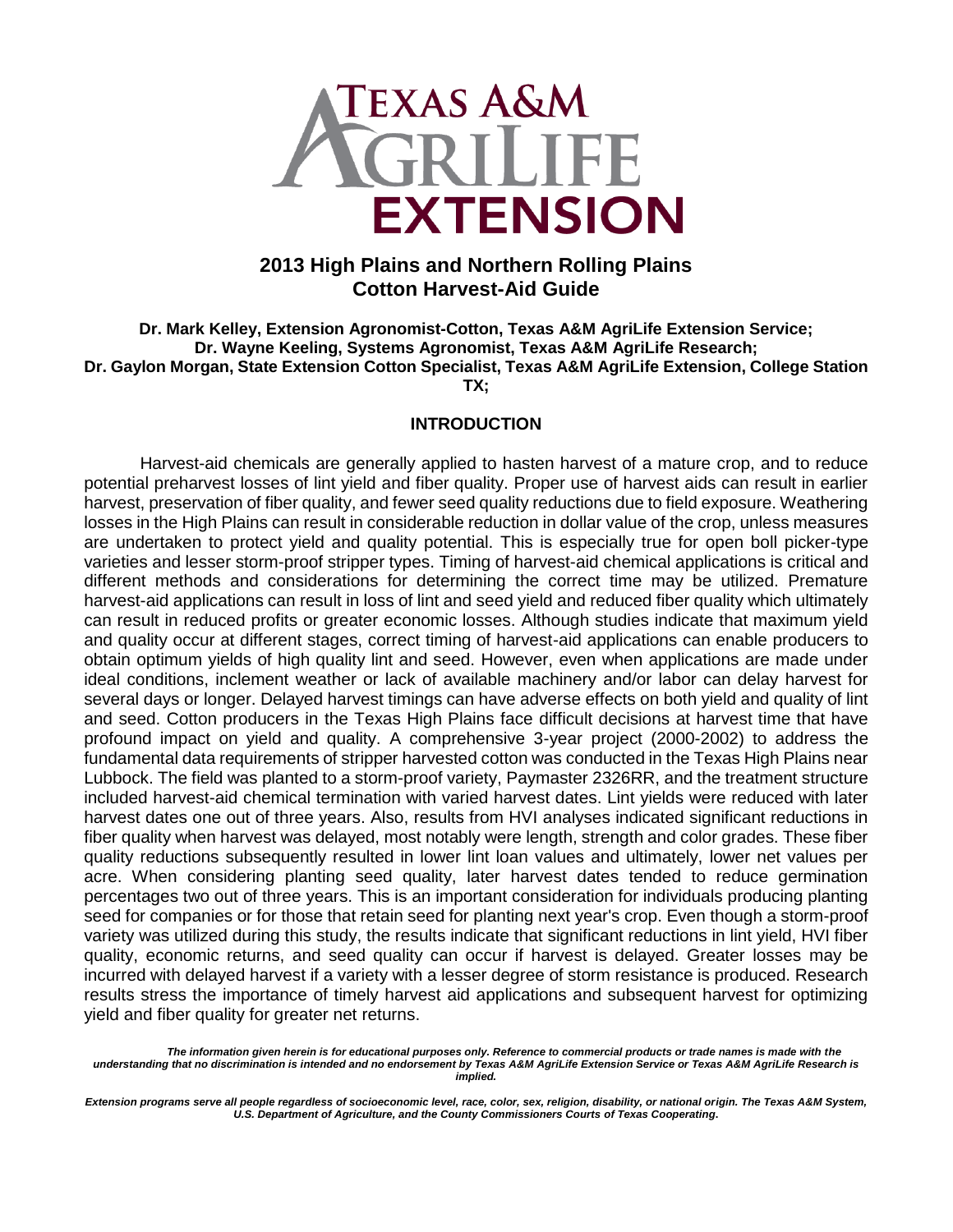

# **2013 High Plains and Northern Rolling Plains Cotton Harvest-Aid Guide**

**Dr. Mark Kelley, Extension Agronomist-Cotton, Texas A&M AgriLife Extension Service; Dr. Wayne Keeling, Systems Agronomist, Texas A&M AgriLife Research; Dr. Gaylon Morgan, State Extension Cotton Specialist, Texas A&M AgriLife Extension, College Station TX;**

#### **INTRODUCTION**

Harvest-aid chemicals are generally applied to hasten harvest of a mature crop, and to reduce potential preharvest losses of lint yield and fiber quality. Proper use of harvest aids can result in earlier harvest, preservation of fiber quality, and fewer seed quality reductions due to field exposure. Weathering losses in the High Plains can result in considerable reduction in dollar value of the crop, unless measures are undertaken to protect yield and quality potential. This is especially true for open boll picker-type varieties and lesser storm-proof stripper types. Timing of harvest-aid chemical applications is critical and different methods and considerations for determining the correct time may be utilized. Premature harvest-aid applications can result in loss of lint and seed yield and reduced fiber quality which ultimately can result in reduced profits or greater economic losses. Although studies indicate that maximum yield and quality occur at different stages, correct timing of harvest-aid applications can enable producers to obtain optimum yields of high quality lint and seed. However, even when applications are made under ideal conditions, inclement weather or lack of available machinery and/or labor can delay harvest for several days or longer. Delayed harvest timings can have adverse effects on both yield and quality of lint and seed. Cotton producers in the Texas High Plains face difficult decisions at harvest time that have profound impact on yield and quality. A comprehensive 3-year project (2000-2002) to address the fundamental data requirements of stripper harvested cotton was conducted in the Texas High Plains near Lubbock. The field was planted to a storm-proof variety, Paymaster 2326RR, and the treatment structure included harvest-aid chemical termination with varied harvest dates. Lint yields were reduced with later harvest dates one out of three years. Also, results from HVI analyses indicated significant reductions in fiber quality when harvest was delayed, most notably were length, strength and color grades. These fiber quality reductions subsequently resulted in lower lint loan values and ultimately, lower net values per acre. When considering planting seed quality, later harvest dates tended to reduce germination percentages two out of three years. This is an important consideration for individuals producing planting seed for companies or for those that retain seed for planting next year's crop. Even though a storm-proof variety was utilized during this study, the results indicate that significant reductions in lint yield, HVI fiber quality, economic returns, and seed quality can occur if harvest is delayed. Greater losses may be incurred with delayed harvest if a variety with a lesser degree of storm resistance is produced. Research results stress the importance of timely harvest aid applications and subsequent harvest for optimizing yield and fiber quality for greater net returns.

*The information given herein is for educational purposes only. Reference to commercial products or trade names is made with the understanding that no discrimination is intended and no endorsement by Texas A&M AgriLife Extension Service or Texas A&M AgriLife Research is implied.*

*Extension programs serve all people regardless of socioeconomic level, race, color, sex, religion, disability, or national origin. The Texas A&M System, U.S. Department of Agriculture, and the County Commissioners Courts of Texas Cooperating***.**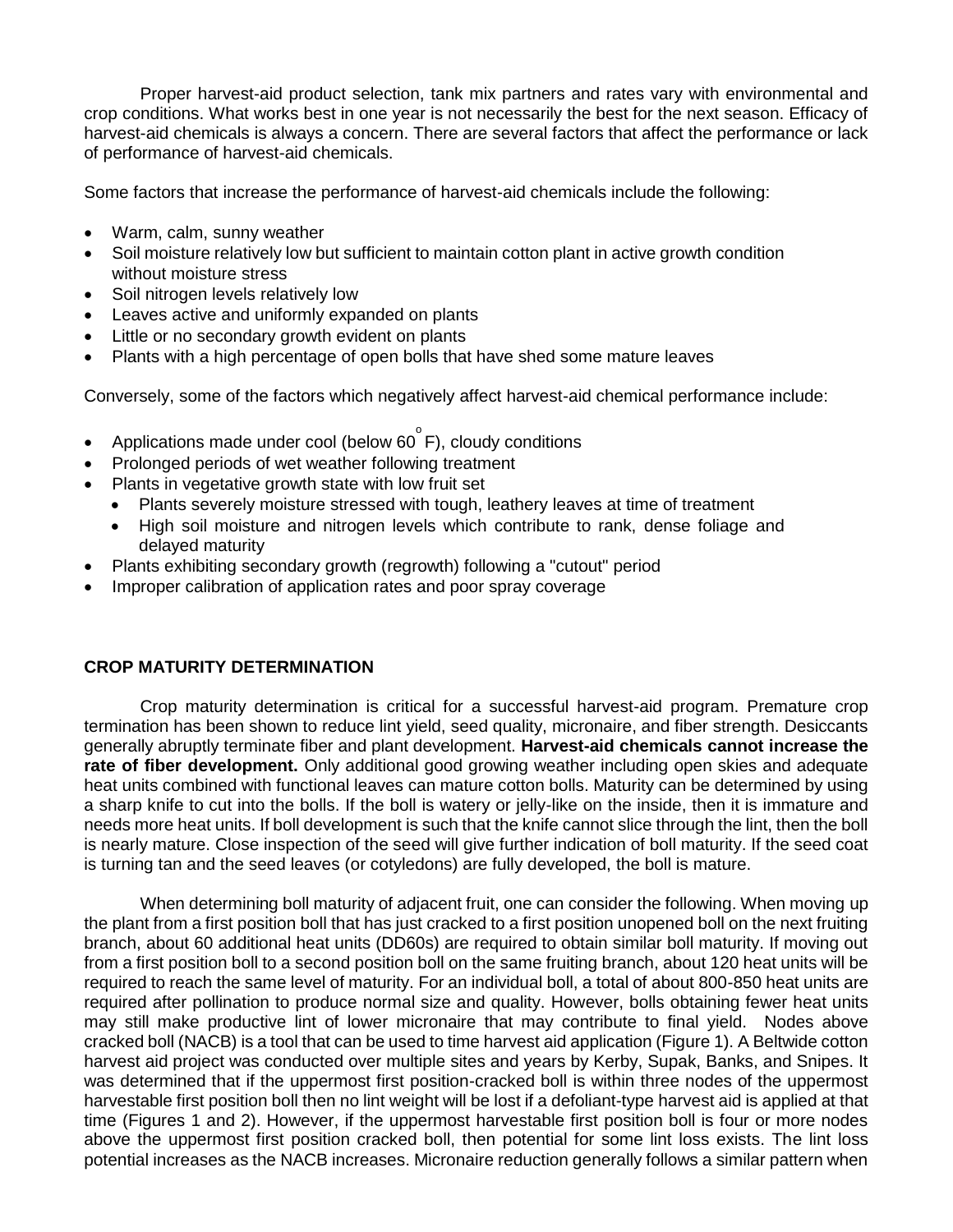Proper harvest-aid product selection, tank mix partners and rates vary with environmental and crop conditions. What works best in one year is not necessarily the best for the next season. Efficacy of harvest-aid chemicals is always a concern. There are several factors that affect the performance or lack of performance of harvest-aid chemicals.

Some factors that increase the performance of harvest-aid chemicals include the following:

- Warm, calm, sunny weather
- Soil moisture relatively low but sufficient to maintain cotton plant in active growth condition without moisture stress
- Soil nitrogen levels relatively low
- Leaves active and uniformly expanded on plants
- Little or no secondary growth evident on plants
- Plants with a high percentage of open bolls that have shed some mature leaves

Conversely, some of the factors which negatively affect harvest-aid chemical performance include:

- Applications made under cool (below 60 $\degree$ F), cloudy conditions
- Prolonged periods of wet weather following treatment
- Plants in vegetative growth state with low fruit set
	- Plants severely moisture stressed with tough, leathery leaves at time of treatment
	- High soil moisture and nitrogen levels which contribute to rank, dense foliage and delayed maturity
- Plants exhibiting secondary growth (regrowth) following a "cutout" period
- Improper calibration of application rates and poor spray coverage

### **CROP MATURITY DETERMINATION**

Crop maturity determination is critical for a successful harvest-aid program. Premature crop termination has been shown to reduce lint yield, seed quality, micronaire, and fiber strength. Desiccants generally abruptly terminate fiber and plant development. **Harvest-aid chemicals cannot increase the rate of fiber development.** Only additional good growing weather including open skies and adequate heat units combined with functional leaves can mature cotton bolls. Maturity can be determined by using a sharp knife to cut into the bolls. If the boll is watery or jelly-like on the inside, then it is immature and needs more heat units. If boll development is such that the knife cannot slice through the lint, then the boll is nearly mature. Close inspection of the seed will give further indication of boll maturity. If the seed coat is turning tan and the seed leaves (or cotyledons) are fully developed, the boll is mature.

When determining boll maturity of adjacent fruit, one can consider the following. When moving up the plant from a first position boll that has just cracked to a first position unopened boll on the next fruiting branch, about 60 additional heat units (DD60s) are required to obtain similar boll maturity. If moving out from a first position boll to a second position boll on the same fruiting branch, about 120 heat units will be required to reach the same level of maturity. For an individual boll, a total of about 800-850 heat units are required after pollination to produce normal size and quality. However, bolls obtaining fewer heat units may still make productive lint of lower micronaire that may contribute to final yield. Nodes above cracked boll (NACB) is a tool that can be used to time harvest aid application (Figure 1). A Beltwide cotton harvest aid project was conducted over multiple sites and years by Kerby, Supak, Banks, and Snipes. It was determined that if the uppermost first position-cracked boll is within three nodes of the uppermost harvestable first position boll then no lint weight will be lost if a defoliant-type harvest aid is applied at that time (Figures 1 and 2). However, if the uppermost harvestable first position boll is four or more nodes above the uppermost first position cracked boll, then potential for some lint loss exists. The lint loss potential increases as the NACB increases. Micronaire reduction generally follows a similar pattern when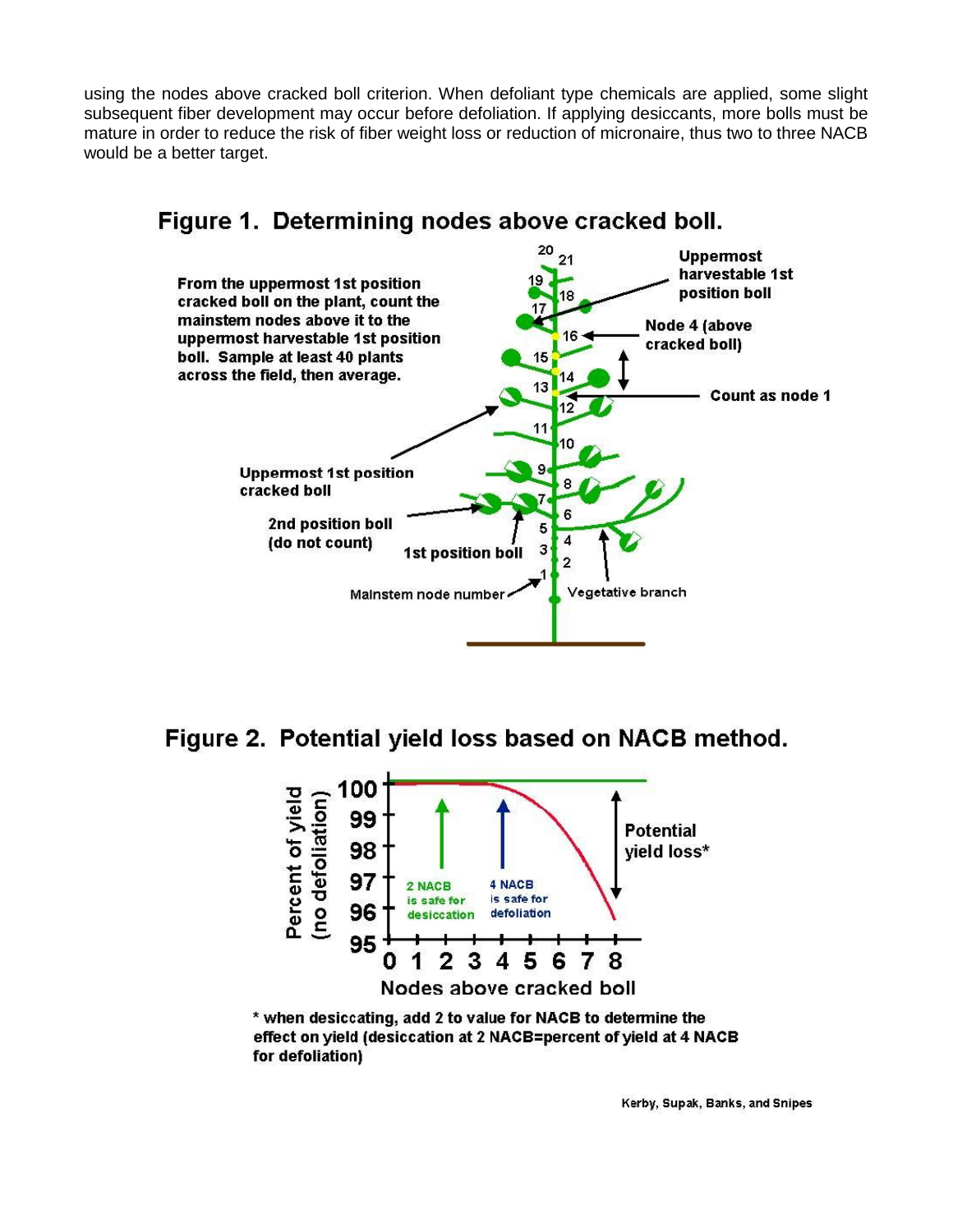using the nodes above cracked boll criterion. When defoliant type chemicals are applied, some slight subsequent fiber development may occur before defoliation. If applying desiccants, more bolls must be mature in order to reduce the risk of fiber weight loss or reduction of micronaire, thus two to three NACB would be a better target.



# Figure 1. Determining nodes above cracked boll.

Figure 2. Potential yield loss based on NACB method.



\* when desiccating, add 2 to value for NACB to determine the effect on yield (desiccation at 2 NACB=percent of yield at 4 NACB for defoliation)

Kerby, Supak, Banks, and Snipes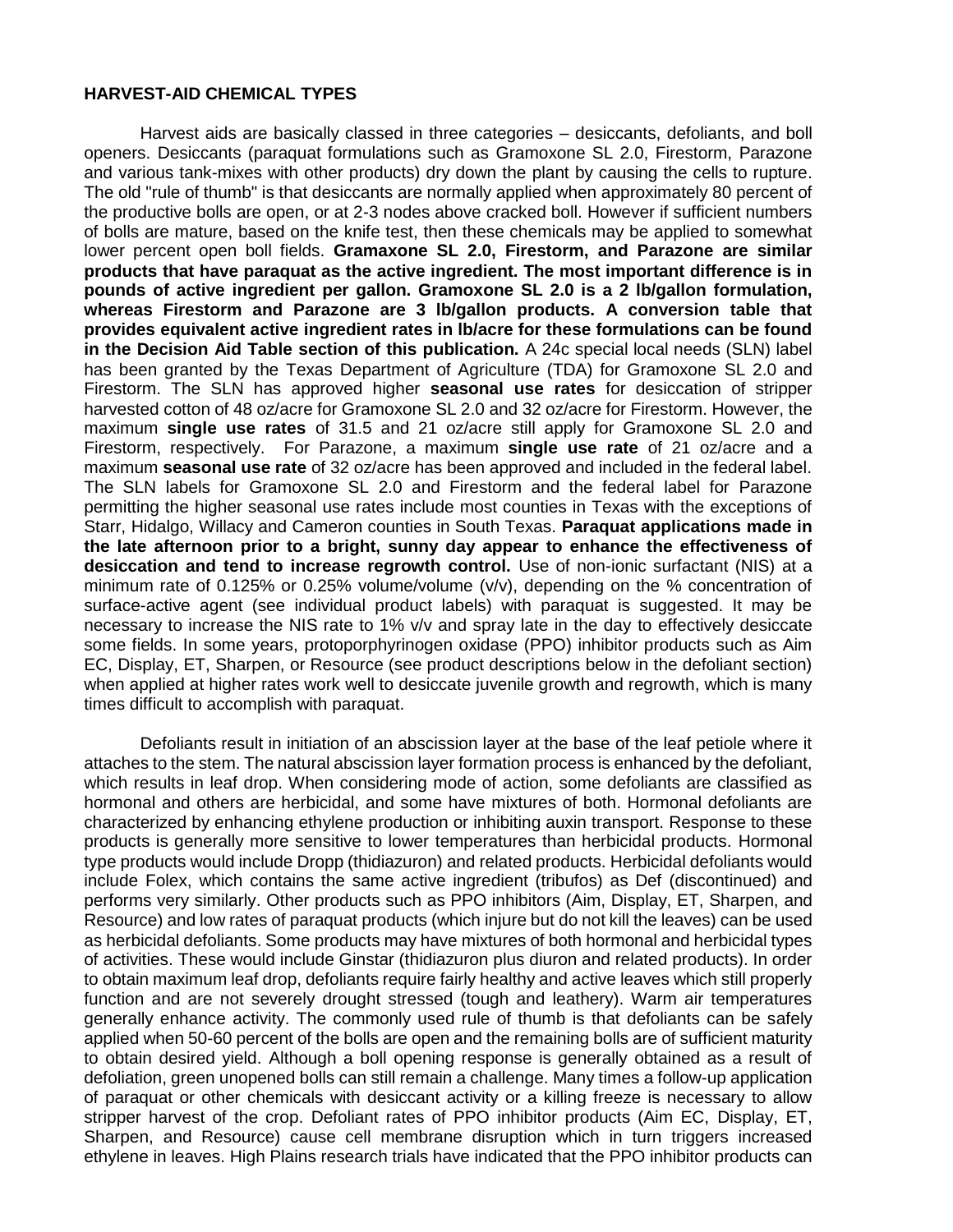#### **HARVEST-AID CHEMICAL TYPES**

Harvest aids are basically classed in three categories – desiccants, defoliants, and boll openers. Desiccants (paraquat formulations such as Gramoxone SL 2.0, Firestorm, Parazone and various tank-mixes with other products) dry down the plant by causing the cells to rupture. The old "rule of thumb" is that desiccants are normally applied when approximately 80 percent of the productive bolls are open, or at 2-3 nodes above cracked boll. However if sufficient numbers of bolls are mature, based on the knife test, then these chemicals may be applied to somewhat lower percent open boll fields. **Gramaxone SL 2.0, Firestorm, and Parazone are similar products that have paraquat as the active ingredient. The most important difference is in pounds of active ingredient per gallon. Gramoxone SL 2.0 is a 2 lb/gallon formulation, whereas Firestorm and Parazone are 3 lb/gallon products. A conversion table that provides equivalent active ingredient rates in lb/acre for these formulations can be found in the Decision Aid Table section of this publication.** A 24c special local needs (SLN) label has been granted by the Texas Department of Agriculture (TDA) for Gramoxone SL 2.0 and Firestorm. The SLN has approved higher **seasonal use rates** for desiccation of stripper harvested cotton of 48 oz/acre for Gramoxone SL 2.0 and 32 oz/acre for Firestorm. However, the maximum **single use rates** of 31.5 and 21 oz/acre still apply for Gramoxone SL 2.0 and Firestorm, respectively. For Parazone, a maximum **single use rate** of 21 oz/acre and a maximum **seasonal use rate** of 32 oz/acre has been approved and included in the federal label. The SLN labels for Gramoxone SL 2.0 and Firestorm and the federal label for Parazone permitting the higher seasonal use rates include most counties in Texas with the exceptions of Starr, Hidalgo, Willacy and Cameron counties in South Texas. **Paraquat applications made in the late afternoon prior to a bright, sunny day appear to enhance the effectiveness of desiccation and tend to increase regrowth control.** Use of non-ionic surfactant (NIS) at a minimum rate of 0.125% or 0.25% volume/volume (v/v), depending on the % concentration of surface-active agent (see individual product labels) with paraquat is suggested. It may be necessary to increase the NIS rate to 1% v/v and spray late in the day to effectively desiccate some fields. In some years, protoporphyrinogen oxidase (PPO) inhibitor products such as Aim EC, Display, ET, Sharpen, or Resource (see product descriptions below in the defoliant section) when applied at higher rates work well to desiccate juvenile growth and regrowth, which is many times difficult to accomplish with paraquat.

Defoliants result in initiation of an abscission layer at the base of the leaf petiole where it attaches to the stem. The natural abscission layer formation process is enhanced by the defoliant, which results in leaf drop. When considering mode of action, some defoliants are classified as hormonal and others are herbicidal, and some have mixtures of both. Hormonal defoliants are characterized by enhancing ethylene production or inhibiting auxin transport. Response to these products is generally more sensitive to lower temperatures than herbicidal products. Hormonal type products would include Dropp (thidiazuron) and related products. Herbicidal defoliants would include Folex, which contains the same active ingredient (tribufos) as Def (discontinued) and performs very similarly. Other products such as PPO inhibitors (Aim, Display, ET, Sharpen, and Resource) and low rates of paraquat products (which injure but do not kill the leaves) can be used as herbicidal defoliants. Some products may have mixtures of both hormonal and herbicidal types of activities. These would include Ginstar (thidiazuron plus diuron and related products). In order to obtain maximum leaf drop, defoliants require fairly healthy and active leaves which still properly function and are not severely drought stressed (tough and leathery). Warm air temperatures generally enhance activity. The commonly used rule of thumb is that defoliants can be safely applied when 50-60 percent of the bolls are open and the remaining bolls are of sufficient maturity to obtain desired yield. Although a boll opening response is generally obtained as a result of defoliation, green unopened bolls can still remain a challenge. Many times a follow-up application of paraquat or other chemicals with desiccant activity or a killing freeze is necessary to allow stripper harvest of the crop. Defoliant rates of PPO inhibitor products (Aim EC, Display, ET, Sharpen, and Resource) cause cell membrane disruption which in turn triggers increased ethylene in leaves. High Plains research trials have indicated that the PPO inhibitor products can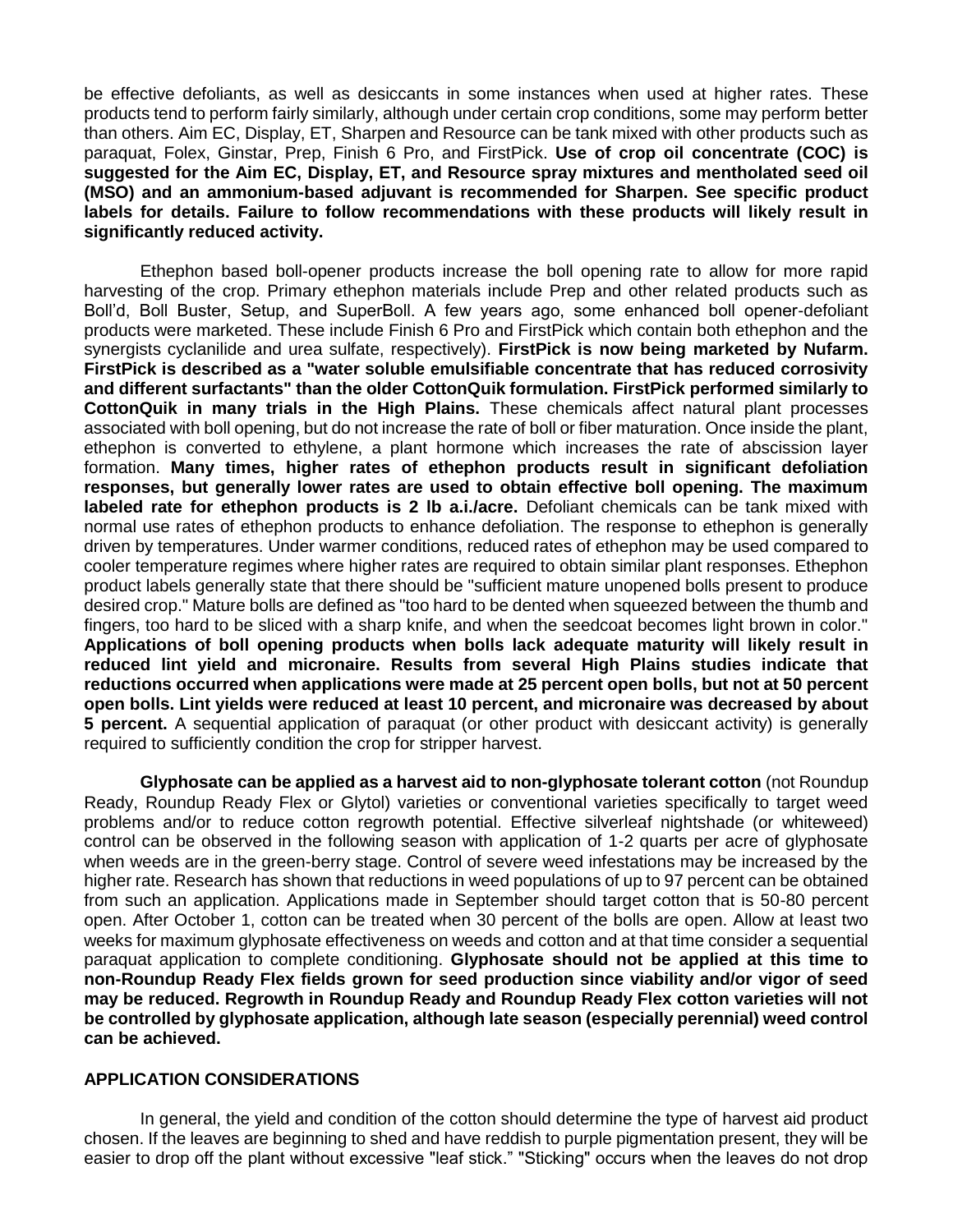be effective defoliants, as well as desiccants in some instances when used at higher rates. These products tend to perform fairly similarly, although under certain crop conditions, some may perform better than others. Aim EC, Display, ET, Sharpen and Resource can be tank mixed with other products such as paraquat, Folex, Ginstar, Prep, Finish 6 Pro, and FirstPick. **Use of crop oil concentrate (COC) is suggested for the Aim EC, Display, ET, and Resource spray mixtures and mentholated seed oil (MSO) and an ammonium-based adjuvant is recommended for Sharpen. See specific product labels for details. Failure to follow recommendations with these products will likely result in significantly reduced activity.** 

Ethephon based boll-opener products increase the boll opening rate to allow for more rapid harvesting of the crop. Primary ethephon materials include Prep and other related products such as Boll'd, Boll Buster, Setup, and SuperBoll. A few years ago, some enhanced boll opener-defoliant products were marketed. These include Finish 6 Pro and FirstPick which contain both ethephon and the synergists cyclanilide and urea sulfate, respectively). **FirstPick is now being marketed by Nufarm. FirstPick is described as a "water soluble emulsifiable concentrate that has reduced corrosivity and different surfactants" than the older CottonQuik formulation. FirstPick performed similarly to CottonQuik in many trials in the High Plains.** These chemicals affect natural plant processes associated with boll opening, but do not increase the rate of boll or fiber maturation. Once inside the plant, ethephon is converted to ethylene, a plant hormone which increases the rate of abscission layer formation. **Many times, higher rates of ethephon products result in significant defoliation responses, but generally lower rates are used to obtain effective boll opening. The maximum labeled rate for ethephon products is 2 lb a.i./acre.** Defoliant chemicals can be tank mixed with normal use rates of ethephon products to enhance defoliation. The response to ethephon is generally driven by temperatures. Under warmer conditions, reduced rates of ethephon may be used compared to cooler temperature regimes where higher rates are required to obtain similar plant responses. Ethephon product labels generally state that there should be "sufficient mature unopened bolls present to produce desired crop." Mature bolls are defined as "too hard to be dented when squeezed between the thumb and fingers, too hard to be sliced with a sharp knife, and when the seedcoat becomes light brown in color." **Applications of boll opening products when bolls lack adequate maturity will likely result in reduced lint yield and micronaire. Results from several High Plains studies indicate that reductions occurred when applications were made at 25 percent open bolls, but not at 50 percent open bolls. Lint yields were reduced at least 10 percent, and micronaire was decreased by about 5 percent.** A sequential application of paraquat (or other product with desiccant activity) is generally required to sufficiently condition the crop for stripper harvest.

**Glyphosate can be applied as a harvest aid to non-glyphosate tolerant cotton** (not Roundup Ready, Roundup Ready Flex or Glytol) varieties or conventional varieties specifically to target weed problems and/or to reduce cotton regrowth potential. Effective silverleaf nightshade (or whiteweed) control can be observed in the following season with application of 1-2 quarts per acre of glyphosate when weeds are in the green-berry stage. Control of severe weed infestations may be increased by the higher rate. Research has shown that reductions in weed populations of up to 97 percent can be obtained from such an application. Applications made in September should target cotton that is 50-80 percent open. After October 1, cotton can be treated when 30 percent of the bolls are open. Allow at least two weeks for maximum glyphosate effectiveness on weeds and cotton and at that time consider a sequential paraquat application to complete conditioning. **Glyphosate should not be applied at this time to non-Roundup Ready Flex fields grown for seed production since viability and/or vigor of seed may be reduced. Regrowth in Roundup Ready and Roundup Ready Flex cotton varieties will not be controlled by glyphosate application, although late season (especially perennial) weed control can be achieved.**

## **APPLICATION CONSIDERATIONS**

In general, the yield and condition of the cotton should determine the type of harvest aid product chosen. If the leaves are beginning to shed and have reddish to purple pigmentation present, they will be easier to drop off the plant without excessive "leaf stick." "Sticking" occurs when the leaves do not drop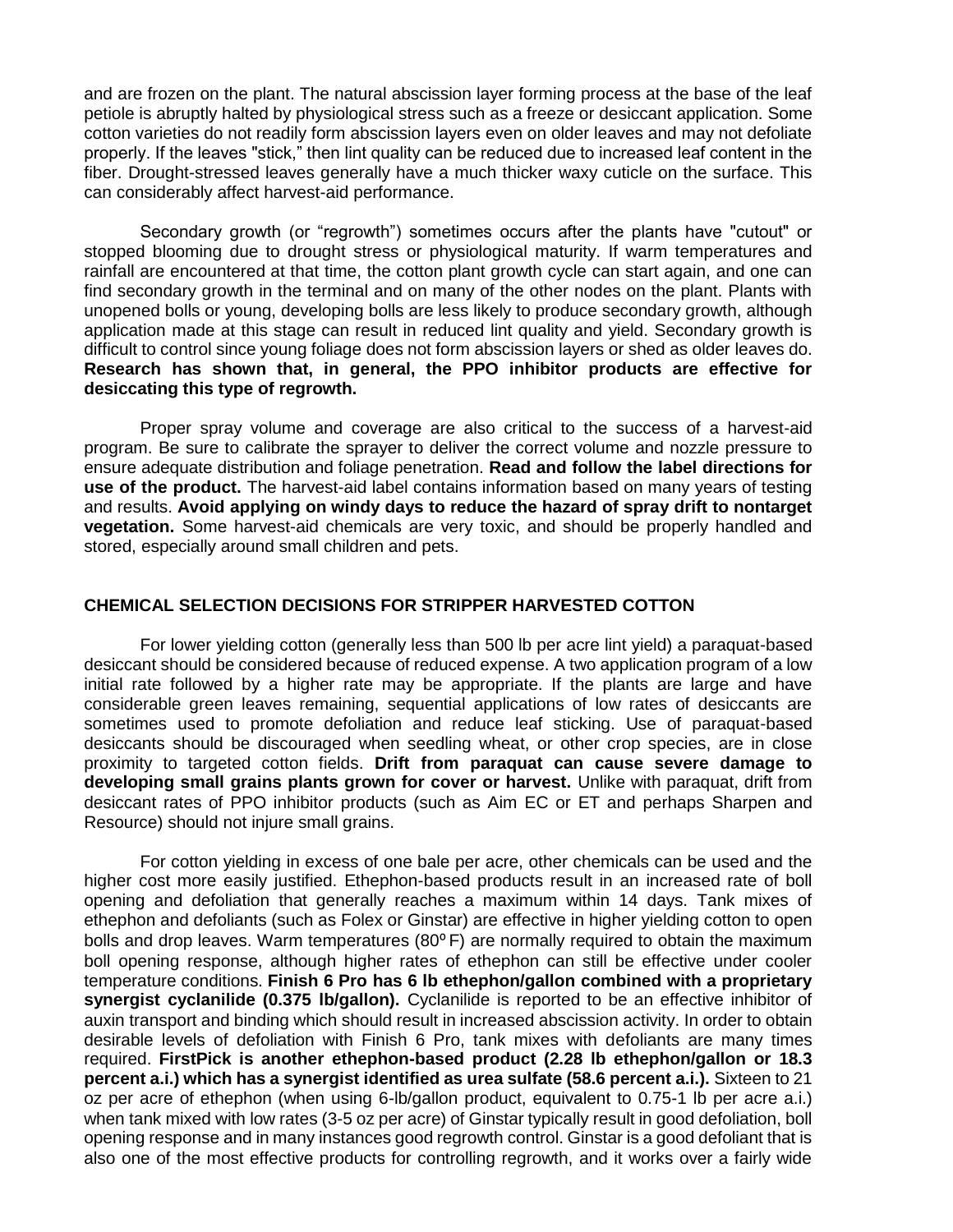and are frozen on the plant. The natural abscission layer forming process at the base of the leaf petiole is abruptly halted by physiological stress such as a freeze or desiccant application. Some cotton varieties do not readily form abscission layers even on older leaves and may not defoliate properly. If the leaves "stick," then lint quality can be reduced due to increased leaf content in the fiber. Drought-stressed leaves generally have a much thicker waxy cuticle on the surface. This can considerably affect harvest-aid performance.

Secondary growth (or "regrowth") sometimes occurs after the plants have "cutout" or stopped blooming due to drought stress or physiological maturity. If warm temperatures and rainfall are encountered at that time, the cotton plant growth cycle can start again, and one can find secondary growth in the terminal and on many of the other nodes on the plant. Plants with unopened bolls or young, developing bolls are less likely to produce secondary growth, although application made at this stage can result in reduced lint quality and yield. Secondary growth is difficult to control since young foliage does not form abscission layers or shed as older leaves do. **Research has shown that, in general, the PPO inhibitor products are effective for desiccating this type of regrowth.** 

Proper spray volume and coverage are also critical to the success of a harvest-aid program. Be sure to calibrate the sprayer to deliver the correct volume and nozzle pressure to ensure adequate distribution and foliage penetration. **Read and follow the label directions for use of the product.** The harvest-aid label contains information based on many years of testing and results. **Avoid applying on windy days to reduce the hazard of spray drift to nontarget vegetation.** Some harvest-aid chemicals are very toxic, and should be properly handled and stored, especially around small children and pets.

#### **CHEMICAL SELECTION DECISIONS FOR STRIPPER HARVESTED COTTON**

For lower yielding cotton (generally less than 500 lb per acre lint yield) a paraquat-based desiccant should be considered because of reduced expense. A two application program of a low initial rate followed by a higher rate may be appropriate. If the plants are large and have considerable green leaves remaining, sequential applications of low rates of desiccants are sometimes used to promote defoliation and reduce leaf sticking. Use of paraquat-based desiccants should be discouraged when seedling wheat, or other crop species, are in close proximity to targeted cotton fields. **Drift from paraquat can cause severe damage to developing small grains plants grown for cover or harvest.** Unlike with paraquat, drift from desiccant rates of PPO inhibitor products (such as Aim EC or ET and perhaps Sharpen and Resource) should not injure small grains.

For cotton yielding in excess of one bale per acre, other chemicals can be used and the higher cost more easily justified. Ethephon-based products result in an increased rate of boll opening and defoliation that generally reaches a maximum within 14 days. Tank mixes of ethephon and defoliants (such as Folex or Ginstar) are effective in higher yielding cotton to open bolls and drop leaves. Warm temperatures  $(80^{\circ} \text{F})$  are normally required to obtain the maximum boll opening response, although higher rates of ethephon can still be effective under cooler temperature conditions. **Finish 6 Pro has 6 lb ethephon/gallon combined with a proprietary synergist cyclanilide (0.375 lb/gallon).** Cyclanilide is reported to be an effective inhibitor of auxin transport and binding which should result in increased abscission activity. In order to obtain desirable levels of defoliation with Finish 6 Pro, tank mixes with defoliants are many times required. **FirstPick is another ethephon-based product (2.28 lb ethephon/gallon or 18.3 percent a.i.) which has a synergist identified as urea sulfate (58.6 percent a.i.).** Sixteen to 21 oz per acre of ethephon (when using 6-lb/gallon product, equivalent to 0.75-1 lb per acre a.i.) when tank mixed with low rates (3-5 oz per acre) of Ginstar typically result in good defoliation, boll opening response and in many instances good regrowth control. Ginstar is a good defoliant that is also one of the most effective products for controlling regrowth, and it works over a fairly wide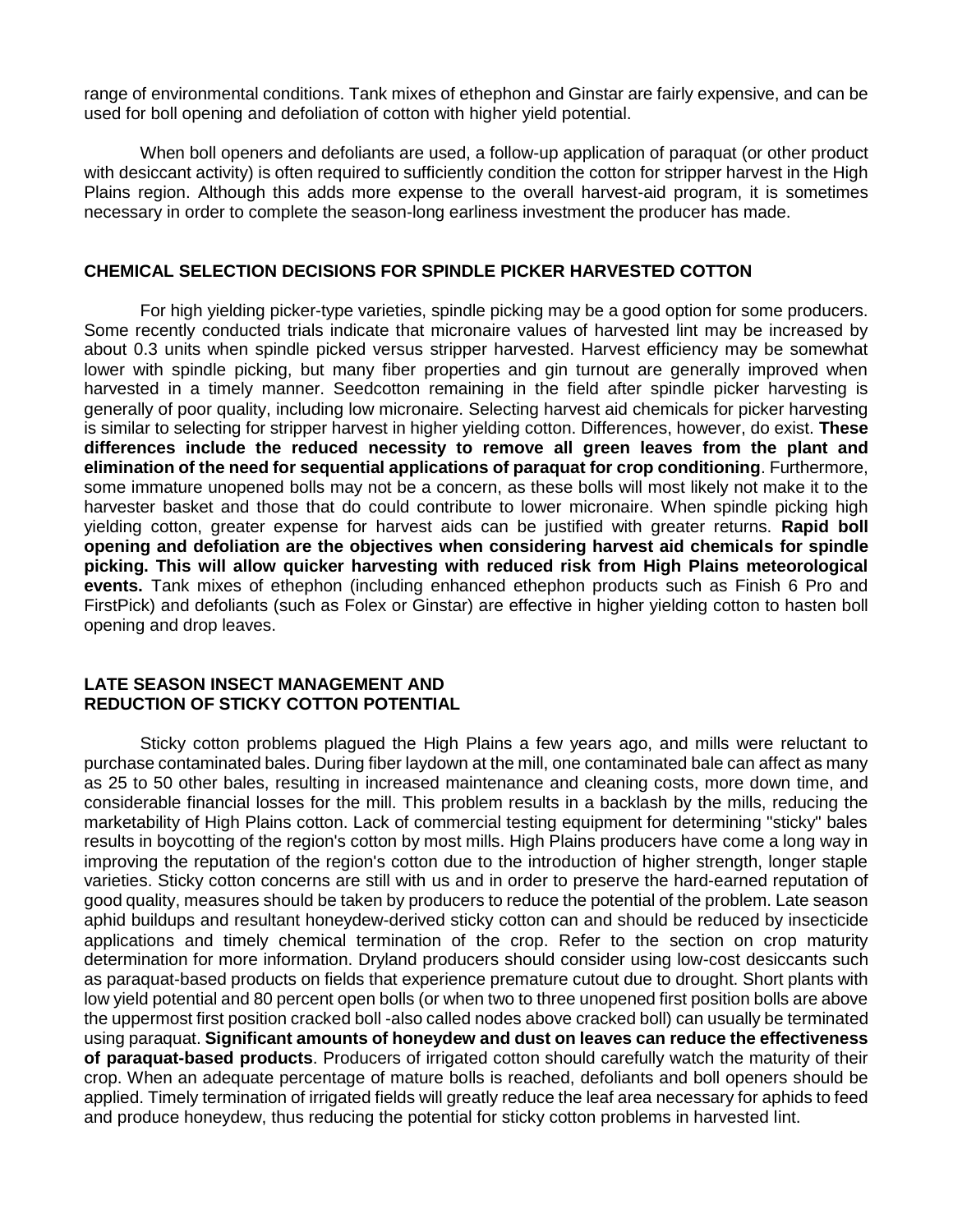range of environmental conditions. Tank mixes of ethephon and Ginstar are fairly expensive, and can be used for boll opening and defoliation of cotton with higher yield potential.

When boll openers and defoliants are used, a follow-up application of paraquat (or other product with desiccant activity) is often required to sufficiently condition the cotton for stripper harvest in the High Plains region. Although this adds more expense to the overall harvest-aid program, it is sometimes necessary in order to complete the season-long earliness investment the producer has made.

#### **CHEMICAL SELECTION DECISIONS FOR SPINDLE PICKER HARVESTED COTTON**

For high yielding picker-type varieties, spindle picking may be a good option for some producers. Some recently conducted trials indicate that micronaire values of harvested lint may be increased by about 0.3 units when spindle picked versus stripper harvested. Harvest efficiency may be somewhat lower with spindle picking, but many fiber properties and gin turnout are generally improved when harvested in a timely manner. Seedcotton remaining in the field after spindle picker harvesting is generally of poor quality, including low micronaire. Selecting harvest aid chemicals for picker harvesting is similar to selecting for stripper harvest in higher yielding cotton. Differences, however, do exist. **These differences include the reduced necessity to remove all green leaves from the plant and elimination of the need for sequential applications of paraquat for crop conditioning**. Furthermore, some immature unopened bolls may not be a concern, as these bolls will most likely not make it to the harvester basket and those that do could contribute to lower micronaire. When spindle picking high yielding cotton, greater expense for harvest aids can be justified with greater returns. **Rapid boll opening and defoliation are the objectives when considering harvest aid chemicals for spindle picking. This will allow quicker harvesting with reduced risk from High Plains meteorological events.** Tank mixes of ethephon (including enhanced ethephon products such as Finish 6 Pro and FirstPick) and defoliants (such as Folex or Ginstar) are effective in higher yielding cotton to hasten boll opening and drop leaves.

#### **LATE SEASON INSECT MANAGEMENT AND REDUCTION OF STICKY COTTON POTENTIAL**

Sticky cotton problems plagued the High Plains a few years ago, and mills were reluctant to purchase contaminated bales. During fiber laydown at the mill, one contaminated bale can affect as many as 25 to 50 other bales, resulting in increased maintenance and cleaning costs, more down time, and considerable financial losses for the mill. This problem results in a backlash by the mills, reducing the marketability of High Plains cotton. Lack of commercial testing equipment for determining "sticky" bales results in boycotting of the region's cotton by most mills. High Plains producers have come a long way in improving the reputation of the region's cotton due to the introduction of higher strength, longer staple varieties. Sticky cotton concerns are still with us and in order to preserve the hard-earned reputation of good quality, measures should be taken by producers to reduce the potential of the problem. Late season aphid buildups and resultant honeydew-derived sticky cotton can and should be reduced by insecticide applications and timely chemical termination of the crop. Refer to the section on crop maturity determination for more information. Dryland producers should consider using low-cost desiccants such as paraquat-based products on fields that experience premature cutout due to drought. Short plants with low yield potential and 80 percent open bolls (or when two to three unopened first position bolls are above the uppermost first position cracked boll -also called nodes above cracked boll) can usually be terminated using paraquat. **Significant amounts of honeydew and dust on leaves can reduce the effectiveness of paraquat-based products**. Producers of irrigated cotton should carefully watch the maturity of their crop. When an adequate percentage of mature bolls is reached, defoliants and boll openers should be applied. Timely termination of irrigated fields will greatly reduce the leaf area necessary for aphids to feed and produce honeydew, thus reducing the potential for sticky cotton problems in harvested lint.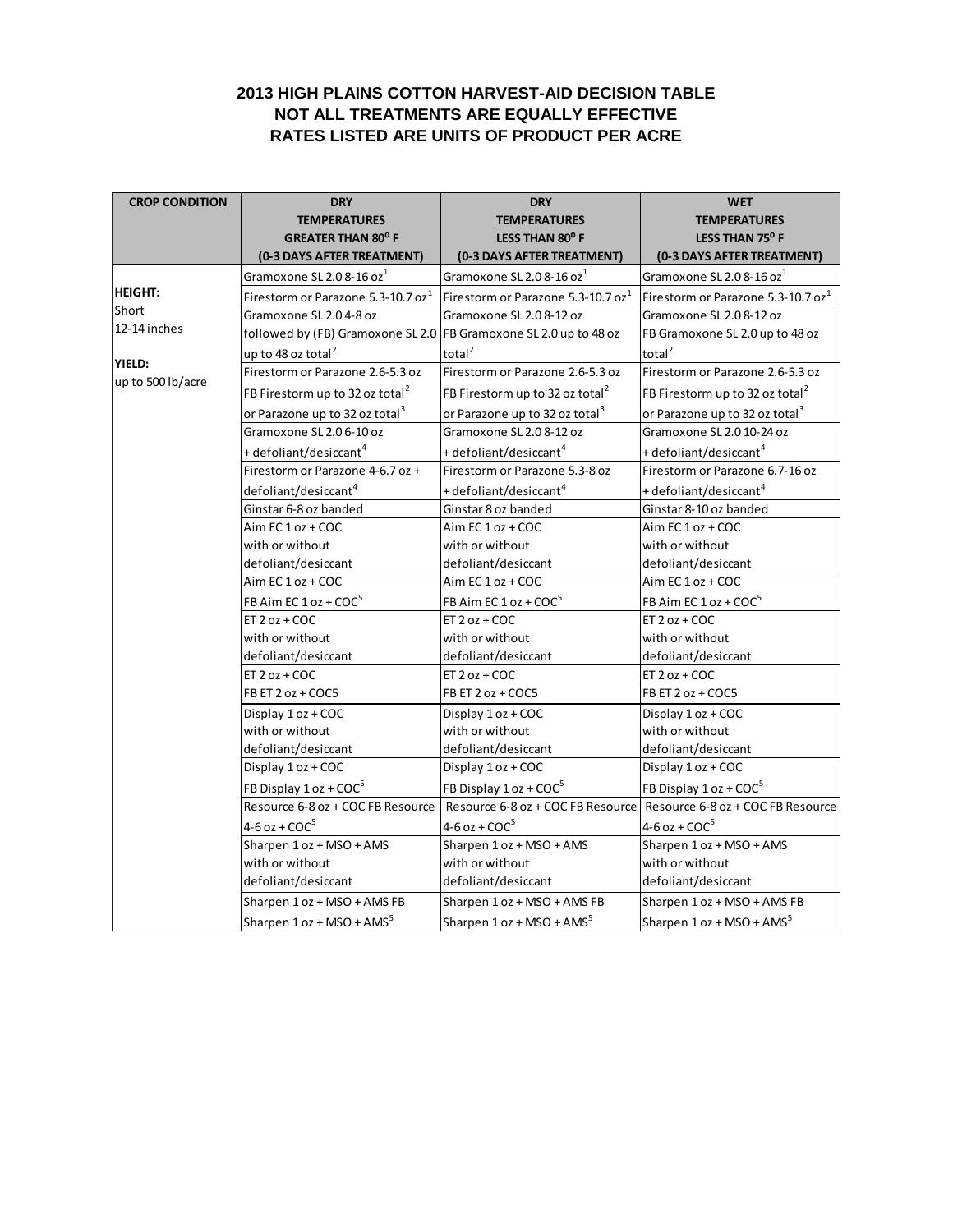## **2013 HIGH PLAINS COTTON HARVEST-AID DECISION TABLE NOT ALL TREATMENTS ARE EQUALLY EFFECTIVE RATES LISTED ARE UNITS OF PRODUCT PER ACRE**

| <b>CROP CONDITION</b> | <b>DRY</b>                                                        | <b>DRY</b>                                     | <b>WET</b>                                     |  |
|-----------------------|-------------------------------------------------------------------|------------------------------------------------|------------------------------------------------|--|
|                       | <b>TEMPERATURES</b>                                               | <b>TEMPERATURES</b>                            | <b>TEMPERATURES</b>                            |  |
|                       | <b>GREATER THAN 80° F</b>                                         | LESS THAN 80° F                                | LESS THAN 75° F                                |  |
|                       | (0-3 DAYS AFTER TREATMENT)                                        | (0-3 DAYS AFTER TREATMENT)                     | (0-3 DAYS AFTER TREATMENT)                     |  |
|                       | Gramoxone SL 2.08-16 oz <sup>1</sup>                              | Gramoxone SL 2.0 8-16 oz <sup>1</sup>          | Gramoxone SL 2.0 8-16 oz <sup>1</sup>          |  |
| <b>HEIGHT:</b>        | Firestorm or Parazone 5.3-10.7 oz <sup>1</sup>                    | Firestorm or Parazone 5.3-10.7 oz <sup>1</sup> | Firestorm or Parazone 5.3-10.7 oz <sup>1</sup> |  |
| Short                 | Gramoxone SL 2.04-8 oz                                            | Gramoxone SL 2.0 8-12 oz                       | Gramoxone SL 2.0 8-12 oz                       |  |
| 12-14 inches          | followed by (FB) Gramoxone SL 2.0 FB Gramoxone SL 2.0 up to 48 oz |                                                | FB Gramoxone SL 2.0 up to 48 oz                |  |
| <b>YIELD:</b>         | up to 48 oz total <sup>2</sup>                                    | total <sup>2</sup>                             | total <sup>2</sup>                             |  |
| up to 500 lb/acre     | Firestorm or Parazone 2.6-5.3 oz                                  | Firestorm or Parazone 2.6-5.3 oz               | Firestorm or Parazone 2.6-5.3 oz               |  |
|                       | FB Firestorm up to 32 oz total <sup>2</sup>                       | FB Firestorm up to 32 oz total <sup>2</sup>    | FB Firestorm up to 32 oz total <sup>2</sup>    |  |
|                       | or Parazone up to 32 oz total <sup>3</sup>                        | or Parazone up to 32 oz total <sup>3</sup>     | or Parazone up to 32 oz total <sup>3</sup>     |  |
|                       | Gramoxone SL 2.0 6-10 oz                                          | Gramoxone SL 2.0 8-12 oz                       | Gramoxone SL 2.0 10-24 oz                      |  |
|                       | + defoliant/desiccant <sup>4</sup>                                | + defoliant/desiccant <sup>4</sup>             | + defoliant/desiccant <sup>4</sup>             |  |
|                       | Firestorm or Parazone 4-6.7 oz +                                  | Firestorm or Parazone 5.3-8 oz                 | Firestorm or Parazone 6.7-16 oz                |  |
|                       | defoliant/desiccant <sup>4</sup>                                  | + defoliant/desiccant <sup>4</sup>             | + defoliant/desiccant <sup>4</sup>             |  |
|                       | Ginstar 6-8 oz banded                                             | Ginstar 8 oz banded                            | Ginstar 8-10 oz banded                         |  |
|                       | Aim EC 1 oz + COC                                                 | Aim EC 1 oz + COC                              | Aim EC 1 oz + COC                              |  |
|                       | with or without                                                   | with or without                                | with or without                                |  |
|                       | defoliant/desiccant                                               | defoliant/desiccant                            | defoliant/desiccant                            |  |
|                       | Aim EC 1 oz + COC                                                 | Aim EC 1 oz + COC                              | Aim EC 1 oz + COC                              |  |
|                       | FB Aim EC 1 oz + COC <sup>5</sup>                                 | FB Aim EC $1$ oz + COC <sup>5</sup>            | FB Aim EC $1$ oz + COC <sup>5</sup>            |  |
|                       | ET $2 oz + COC$                                                   | ET $2 oz + COC$                                | ET $2 oz + COC$                                |  |
|                       | with or without                                                   | with or without                                | with or without                                |  |
|                       | defoliant/desiccant                                               | defoliant/desiccant                            | defoliant/desiccant                            |  |
|                       | ET $2 oz + COC$                                                   | $ET 2 oz + COC$                                | $ET 2 oz + COC$                                |  |
|                       | FB ET 2 oz + COC5                                                 | FB ET 2 oz + COC5                              | FB ET 2 oz + COC5                              |  |
|                       | Display 1 oz + COC                                                | Display 1 oz + COC                             | Display 1 oz + COC                             |  |
|                       | with or without                                                   | with or without                                | with or without                                |  |
|                       | defoliant/desiccant                                               | defoliant/desiccant                            | defoliant/desiccant                            |  |
|                       | Display 1 oz + COC                                                | Display 1 oz + COC                             | Display 1 oz + COC                             |  |
|                       | FB Display 1 oz + COC <sup>5</sup>                                | FB Display 1 oz + COC <sup>5</sup>             | FB Display 1 oz + COC <sup>5</sup>             |  |
|                       | Resource 6-8 oz + COC FB Resource                                 | Resource 6-8 oz + COC FB Resource              | Resource 6-8 oz + COC FB Resource              |  |
|                       | $4-6$ oz + COC <sup>5</sup>                                       | $4-6$ oz + COC <sup>5</sup>                    | $4-6$ oz + COC <sup>5</sup>                    |  |
|                       | Sharpen 1 oz + MSO + AMS                                          | Sharpen 1 oz + MSO + AMS                       | Sharpen 1 oz + MSO + AMS                       |  |
|                       | with or without                                                   | with or without                                | with or without                                |  |
|                       | defoliant/desiccant                                               | defoliant/desiccant                            | defoliant/desiccant                            |  |
|                       | Sharpen 1 oz + MSO + AMS FB                                       | Sharpen 1 oz + MSO + AMS FB                    | Sharpen 1 oz + MSO + AMS FB                    |  |
|                       | Sharpen 1 oz + MSO + AMS <sup>5</sup>                             | Sharpen 1 oz + MSO + AMS <sup>5</sup>          | Sharpen 1 oz + MSO + AMS <sup>5</sup>          |  |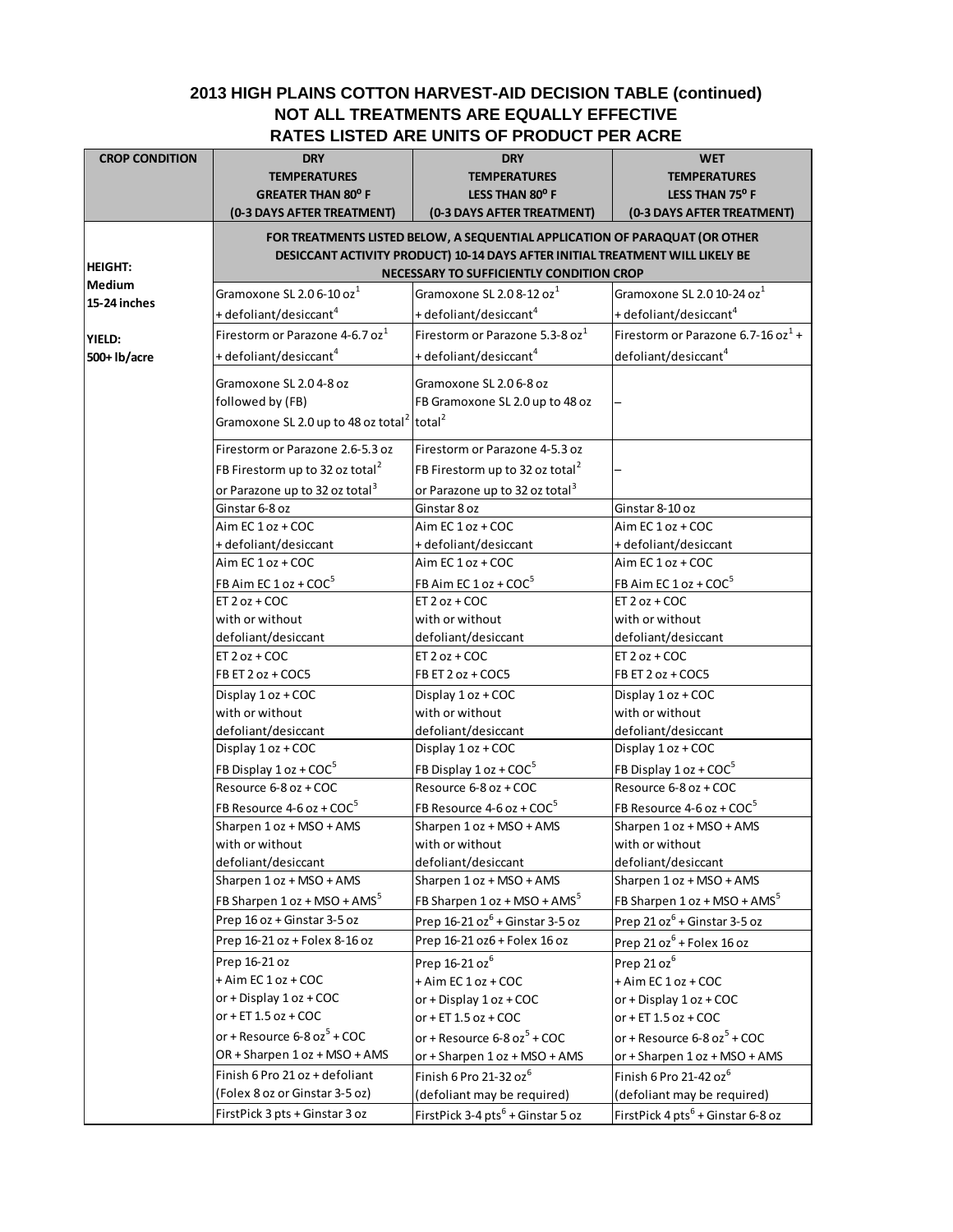## **2013 HIGH PLAINS COTTON HARVEST-AID DECISION TABLE (continued) NOT ALL TREATMENTS ARE EQUALLY EFFECTIVE RATES LISTED ARE UNITS OF PRODUCT PER ACRE**

| <b>CROP CONDITION</b> | <b>DRY</b>                                                                  | <b>DRY</b>                                                                    | <b>WET</b>                                    |  |
|-----------------------|-----------------------------------------------------------------------------|-------------------------------------------------------------------------------|-----------------------------------------------|--|
|                       | <b>TEMPERATURES</b>                                                         | <b>TEMPERATURES</b>                                                           | <b>TEMPERATURES</b>                           |  |
|                       | <b>GREATER THAN 80° F</b>                                                   | LESS THAN 80° F                                                               | LESS THAN 75° F                               |  |
|                       | (0-3 DAYS AFTER TREATMENT)                                                  | (0-3 DAYS AFTER TREATMENT)                                                    | (0-3 DAYS AFTER TREATMENT)                    |  |
|                       | FOR TREATMENTS LISTED BELOW, A SEQUENTIAL APPLICATION OF PARAQUAT (OR OTHER |                                                                               |                                               |  |
|                       |                                                                             | DESICCANT ACTIVITY PRODUCT) 10-14 DAYS AFTER INITIAL TREATMENT WILL LIKELY BE |                                               |  |
| <b>HEIGHT:</b>        |                                                                             | NECESSARY TO SUFFICIENTLY CONDITION CROP                                      |                                               |  |
| <b>Medium</b>         | Gramoxone SL 2.0 6-10 oz <sup>1</sup>                                       | Gramoxone SL 2.0 8-12 oz <sup>1</sup>                                         | Gramoxone SL 2.0 10-24 oz <sup>1</sup>        |  |
| 15-24 inches          | + defoliant/desiccant <sup>4</sup>                                          | + defoliant/desiccant <sup>4</sup>                                            | + defoliant/desiccant <sup>4</sup>            |  |
|                       | Firestorm or Parazone 4-6.7 oz <sup>1</sup>                                 | Firestorm or Parazone 5.3-8 oz <sup>1</sup>                                   | Firestorm or Parazone 6.7-16 oz $1+$          |  |
| YIELD:                |                                                                             |                                                                               |                                               |  |
| 500+ Ib/acre          | + defoliant/desiccant <sup>4</sup>                                          | + defoliant/desiccant <sup>4</sup>                                            | defoliant/desiccant <sup>4</sup>              |  |
|                       | Gramoxone SL 2.04-8 oz                                                      | Gramoxone SL 2.0 6-8 oz                                                       |                                               |  |
|                       | followed by (FB)                                                            | FB Gramoxone SL 2.0 up to 48 oz                                               |                                               |  |
|                       | Gramoxone SL 2.0 up to 48 oz total <sup>2</sup> total <sup>2</sup>          |                                                                               |                                               |  |
|                       | Firestorm or Parazone 2.6-5.3 oz                                            | Firestorm or Parazone 4-5.3 oz                                                |                                               |  |
|                       | FB Firestorm up to 32 oz total <sup>2</sup>                                 | FB Firestorm up to 32 oz total <sup>2</sup>                                   |                                               |  |
|                       | or Parazone up to 32 oz total <sup>3</sup>                                  | or Parazone up to 32 oz total <sup>3</sup>                                    |                                               |  |
|                       | Ginstar 6-8 oz                                                              | Ginstar 8 oz                                                                  | Ginstar 8-10 oz                               |  |
|                       | Aim EC 1 oz + COC                                                           | Aim EC 1 oz + COC                                                             | Aim EC 1 oz + COC                             |  |
|                       | +defoliant/desiccant                                                        | + defoliant/desiccant                                                         | + defoliant/desiccant                         |  |
|                       | Aim EC 1 oz + COC                                                           | Aim EC 1 oz + COC                                                             | Aim EC 1 oz + COC                             |  |
|                       | FB Aim EC 1 oz + COC <sup>5</sup>                                           | FB Aim EC 1 oz + COC <sup>5</sup>                                             | FB Aim EC 1 oz + COC <sup>5</sup>             |  |
|                       | ET $2 oz + COC$                                                             | ET $2 oz + COC$                                                               | $ET 2 oz + COC$                               |  |
|                       | with or without                                                             | with or without                                                               | with or without                               |  |
|                       | defoliant/desiccant                                                         | defoliant/desiccant                                                           | defoliant/desiccant                           |  |
|                       | ET $2 oz + COC$                                                             | ET $2 oz + COC$                                                               | $ET 2 oz + COC$                               |  |
|                       | FB ET 2 oz + COC5                                                           | FB ET 2 oz + COC5                                                             | FB ET 2 oz + COC5                             |  |
|                       | Display 1 oz + COC                                                          | Display 1 oz + COC                                                            | Display 1 oz + COC                            |  |
|                       | with or without                                                             | with or without                                                               | with or without                               |  |
|                       | defoliant/desiccant                                                         | defoliant/desiccant                                                           | defoliant/desiccant                           |  |
|                       | Display 1 oz + COC                                                          | Display 1 oz + COC                                                            | Display 1 oz + COC                            |  |
|                       | FB Display 1 oz + COC <sup>5</sup>                                          | FB Display $1$ oz + COC <sup>5</sup>                                          | FB Display 1 oz + COC <sup>5</sup>            |  |
|                       | Resource 6-8 oz + COC                                                       | Resource 6-8 oz + COC                                                         | Resource 6-8 oz + COC                         |  |
|                       | FB Resource 4-6 oz + $COC^5$                                                | FB Resource 4-6 oz + $COC5$                                                   | FB Resource 4-6 oz + $COC5$                   |  |
|                       | Sharpen 1 oz + MSO + AMS                                                    | Sharpen 1 oz + MSO + AMS                                                      | Sharpen 1 oz + MSO + AMS                      |  |
|                       | with or without                                                             | with or without                                                               | with or without                               |  |
|                       | defoliant/desiccant                                                         | defoliant/desiccant                                                           | defoliant/desiccant                           |  |
|                       | Sharpen 1 oz + MSO + AMS                                                    | Sharpen 1 oz + MSO + AMS                                                      | Sharpen 1 oz + MSO + AMS                      |  |
|                       | FB Sharpen 1 oz + MSO + AMS <sup>5</sup>                                    | FB Sharpen 1 oz + MSO + AMS <sup>5</sup>                                      | FB Sharpen 1 oz + MSO + AMS <sup>5</sup>      |  |
|                       | Prep 16 oz + Ginstar 3-5 oz                                                 | Prep $16-21$ oz $^{6}$ + Ginstar 3-5 oz                                       | Prep 21 oz <sup>6</sup> + Ginstar 3-5 oz      |  |
|                       | Prep 16-21 oz + Folex 8-16 oz                                               | Prep 16-21 oz6 + Folex 16 oz                                                  | Prep $21$ $oz6$ + Folex 16 oz                 |  |
|                       | Prep 16-21 oz                                                               | Prep 16-21 oz <sup>6</sup>                                                    | Prep 21 oz <sup>6</sup>                       |  |
|                       | + Aim EC 1 oz + COC                                                         | + Aim EC 1 oz + COC                                                           | + Aim EC 1 oz + COC                           |  |
|                       | or + Display 1 oz + COC                                                     | or + Display 1 oz + COC                                                       | or + Display 1 oz + COC                       |  |
|                       | or + ET $1.5$ oz + COC                                                      | or + ET $1.5$ oz + COC                                                        | or + ET $1.5$ oz + COC                        |  |
|                       | or + Resource $6-8$ oz $^5$ + COC                                           | or + Resource $6 - 8$ oz <sup>5</sup> + COC                                   | or + Resource $6-8$ oz $^5$ + COC             |  |
|                       | OR + Sharpen 1 oz + MSO + AMS                                               | or + Sharpen 1 oz + MSO + AMS                                                 | or + Sharpen 1 oz + MSO + AMS                 |  |
|                       | Finish 6 Pro 21 oz + defoliant                                              | Finish 6 Pro 21-32 oz <sup>6</sup>                                            | Finish 6 Pro 21-42 oz <sup>6</sup>            |  |
|                       | (Folex 8 oz or Ginstar 3-5 oz)                                              | (defoliant may be required)                                                   | (defoliant may be required)                   |  |
|                       | FirstPick 3 pts + Ginstar 3 oz                                              | FirstPick 3-4 pts <sup>6</sup> + Ginstar 5 oz                                 | FirstPick 4 pts <sup>6</sup> + Ginstar 6-8 oz |  |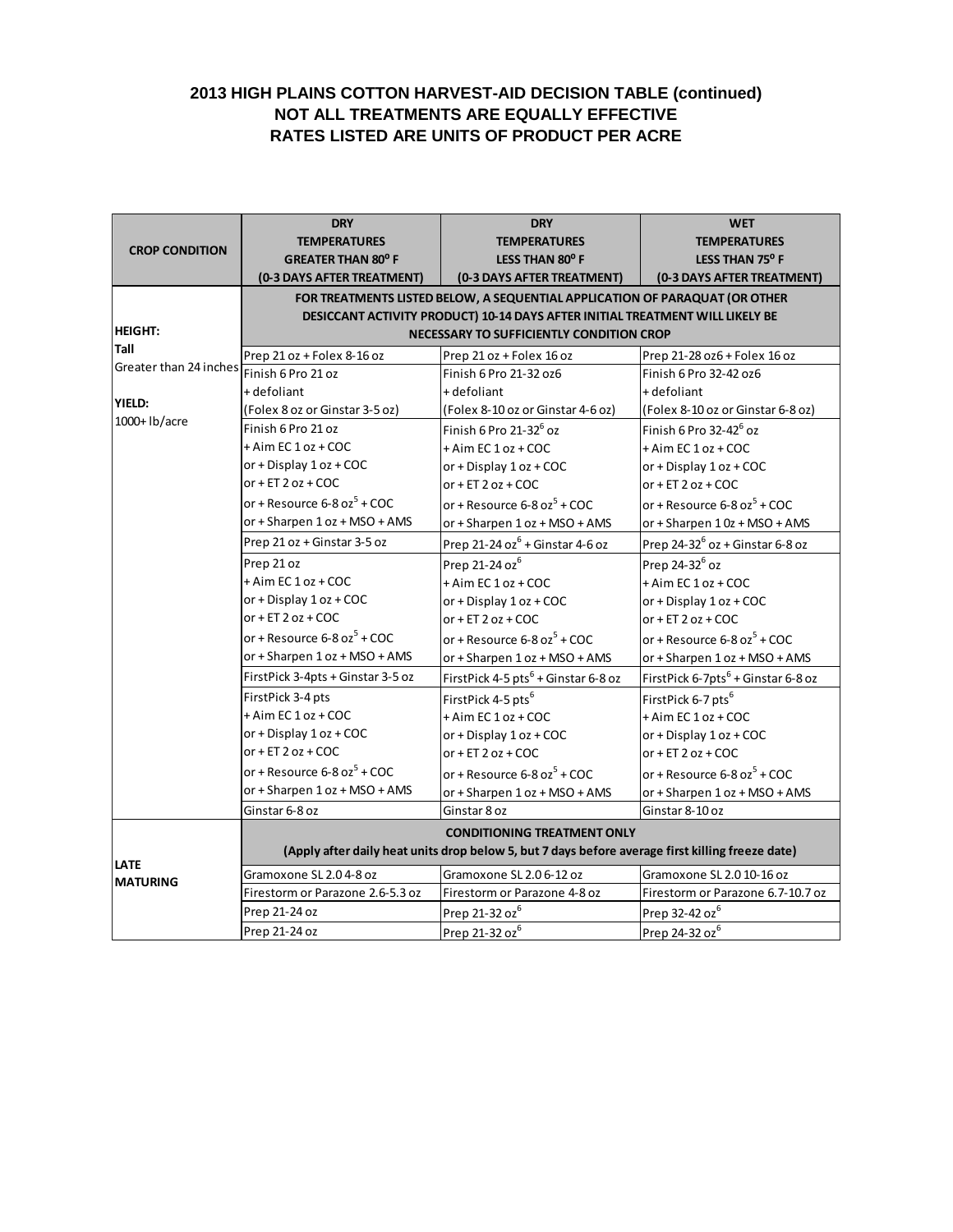## **2013 HIGH PLAINS COTTON HARVEST-AID DECISION TABLE (continued) NOT ALL TREATMENTS ARE EQUALLY EFFECTIVE RATES LISTED ARE UNITS OF PRODUCT PER ACRE**

|                        | <b>DRY</b>                                                                                       | <b>DRY</b>                                                                    | <b>WET</b>                                     |  |
|------------------------|--------------------------------------------------------------------------------------------------|-------------------------------------------------------------------------------|------------------------------------------------|--|
|                        | <b>TEMPERATURES</b>                                                                              | <b>TEMPERATURES</b>                                                           | <b>TEMPERATURES</b>                            |  |
| <b>CROP CONDITION</b>  | <b>GREATER THAN 80° F</b>                                                                        | LESS THAN 80° F                                                               | LESS THAN 75° F                                |  |
|                        | (0-3 DAYS AFTER TREATMENT)                                                                       | (0-3 DAYS AFTER TREATMENT)                                                    | (0-3 DAYS AFTER TREATMENT)                     |  |
|                        | FOR TREATMENTS LISTED BELOW, A SEQUENTIAL APPLICATION OF PARAQUAT (OR OTHER                      |                                                                               |                                                |  |
|                        |                                                                                                  | DESICCANT ACTIVITY PRODUCT) 10-14 DAYS AFTER INITIAL TREATMENT WILL LIKELY BE |                                                |  |
| <b>HEIGHT:</b>         |                                                                                                  | NECESSARY TO SUFFICIENTLY CONDITION CROP                                      |                                                |  |
| Tall                   | Prep 21 oz + Folex 8-16 oz                                                                       | Prep 21 oz + Folex 16 oz                                                      | Prep 21-28 oz6 + Folex 16 oz                   |  |
| Greater than 24 inches | Finish 6 Pro 21 oz                                                                               | Finish 6 Pro 21-32 oz6                                                        | Finish 6 Pro 32-42 oz6                         |  |
|                        | + defoliant                                                                                      | + defoliant                                                                   | + defoliant                                    |  |
| YIELD:                 | (Folex 8 oz or Ginstar 3-5 oz)                                                                   | (Folex 8-10 oz or Ginstar 4-6 oz)                                             | (Folex 8-10 oz or Ginstar 6-8 oz)              |  |
| 1000+ lb/acre          | Finish 6 Pro 21 oz                                                                               | Finish 6 Pro $21-32^6$ oz                                                     | Finish 6 Pro 32-42 <sup>6</sup> oz             |  |
|                        | + Aim EC 1 oz + COC                                                                              | + Aim EC 1 oz + COC                                                           | + Aim EC 1 oz + COC                            |  |
|                        | or + Display $1$ oz + COC                                                                        | or + Display 1 oz + COC                                                       | or + Display 1 oz + COC                        |  |
|                        | or + ET $2$ oz + COC                                                                             | or + ET $2$ oz + COC                                                          | or + $ET$ 2 oz + COC                           |  |
|                        | or + Resource $6-8$ oz $^5$ + COC                                                                | or + Resource $6-8$ oz $^5$ + COC                                             | or + Resource $6-8$ oz $^5$ + COC              |  |
|                        | or + Sharpen 1 oz + MSO + AMS                                                                    | or + Sharpen 1 oz + MSO + AMS                                                 | or + Sharpen 10z + MSO + AMS                   |  |
|                        | Prep 21 oz + Ginstar 3-5 oz                                                                      | Prep 21-24 oz $6 +$ Ginstar 4-6 oz                                            | Prep 24-32 $6$ oz + Ginstar 6-8 oz             |  |
|                        | Prep 21 oz                                                                                       | Prep 21-24 oz <sup>6</sup>                                                    | Prep 24-32 <sup>6</sup> oz                     |  |
|                        | + Aim EC 1 oz + COC                                                                              | + Aim EC 1 oz + COC                                                           | + Aim EC 1 oz + COC                            |  |
|                        | or + Display 1 oz + COC                                                                          | or + Display 1 oz + COC                                                       | or + Display 1 oz + COC                        |  |
|                        | or + $ET$ 2 oz + COC                                                                             | or + $ET$ 2 oz + COC                                                          | or + ET $2$ oz + COC                           |  |
|                        | or + Resource $6-8$ oz $^5$ + COC                                                                |                                                                               |                                                |  |
|                        | or + Sharpen 1 oz + MSO + AMS                                                                    | or + Resource $6-8$ oz $^5$ + COC                                             | or + Resource $6 - 8$ oz <sup>5</sup> + COC    |  |
|                        |                                                                                                  | or + Sharpen 1 oz + MSO + AMS                                                 | or + Sharpen 1 oz + MSO + AMS                  |  |
|                        | FirstPick 3-4pts + Ginstar 3-5 oz                                                                | FirstPick 4-5 pts <sup>6</sup> + Ginstar 6-8 oz                               | FirstPick 6-7pts <sup>6</sup> + Ginstar 6-8 oz |  |
|                        | FirstPick 3-4 pts                                                                                | FirstPick 4-5 pts <sup>6</sup>                                                | FirstPick 6-7 pts <sup>6</sup>                 |  |
|                        | + Aim EC 1 oz + COC                                                                              | + Aim EC 1 oz + COC                                                           | + Aim EC 1 oz + COC                            |  |
|                        | or + Display 1 oz + COC                                                                          | or + Display 1 oz + COC                                                       | or + Display 1 oz + COC                        |  |
|                        | or + ET $2$ oz + COC                                                                             | or + ET $2$ oz + COC                                                          | or + $ET$ 2 oz + COC                           |  |
|                        | or + Resource $6-8$ oz $5 + COC$                                                                 | or + Resource $6-8$ oz $^5$ + COC                                             | or + Resource $6-8$ oz $^5$ + COC              |  |
|                        | or + Sharpen 1 oz + MSO + AMS                                                                    | or + Sharpen 1 oz + MSO + AMS                                                 | or + Sharpen 1 oz + MSO + AMS                  |  |
|                        | Ginstar 6-8 oz                                                                                   | Ginstar 8 oz                                                                  | Ginstar 8-10 oz                                |  |
|                        |                                                                                                  | <b>CONDITIONING TREATMENT ONLY</b>                                            |                                                |  |
|                        | (Apply after daily heat units drop below 5, but 7 days before average first killing freeze date) |                                                                               |                                                |  |
| <b>LATE</b>            | Gramoxone SL 2.04-8 oz                                                                           | Gramoxone SL 2.0 6-12 oz                                                      | Gramoxone SL 2.0 10-16 oz                      |  |
| <b>MATURING</b>        | Firestorm or Parazone 2.6-5.3 oz                                                                 | Firestorm or Parazone 4-8 oz                                                  | Firestorm or Parazone 6.7-10.7 oz              |  |
|                        | Prep 21-24 oz                                                                                    | Prep 21-32 oz <sup>6</sup>                                                    | Prep 32-42 oz <sup>6</sup>                     |  |
|                        | Prep 21-24 oz                                                                                    | Prep 21-32 oz <sup>6</sup>                                                    | Prep 24-32 oz <sup>6</sup>                     |  |
|                        |                                                                                                  |                                                                               |                                                |  |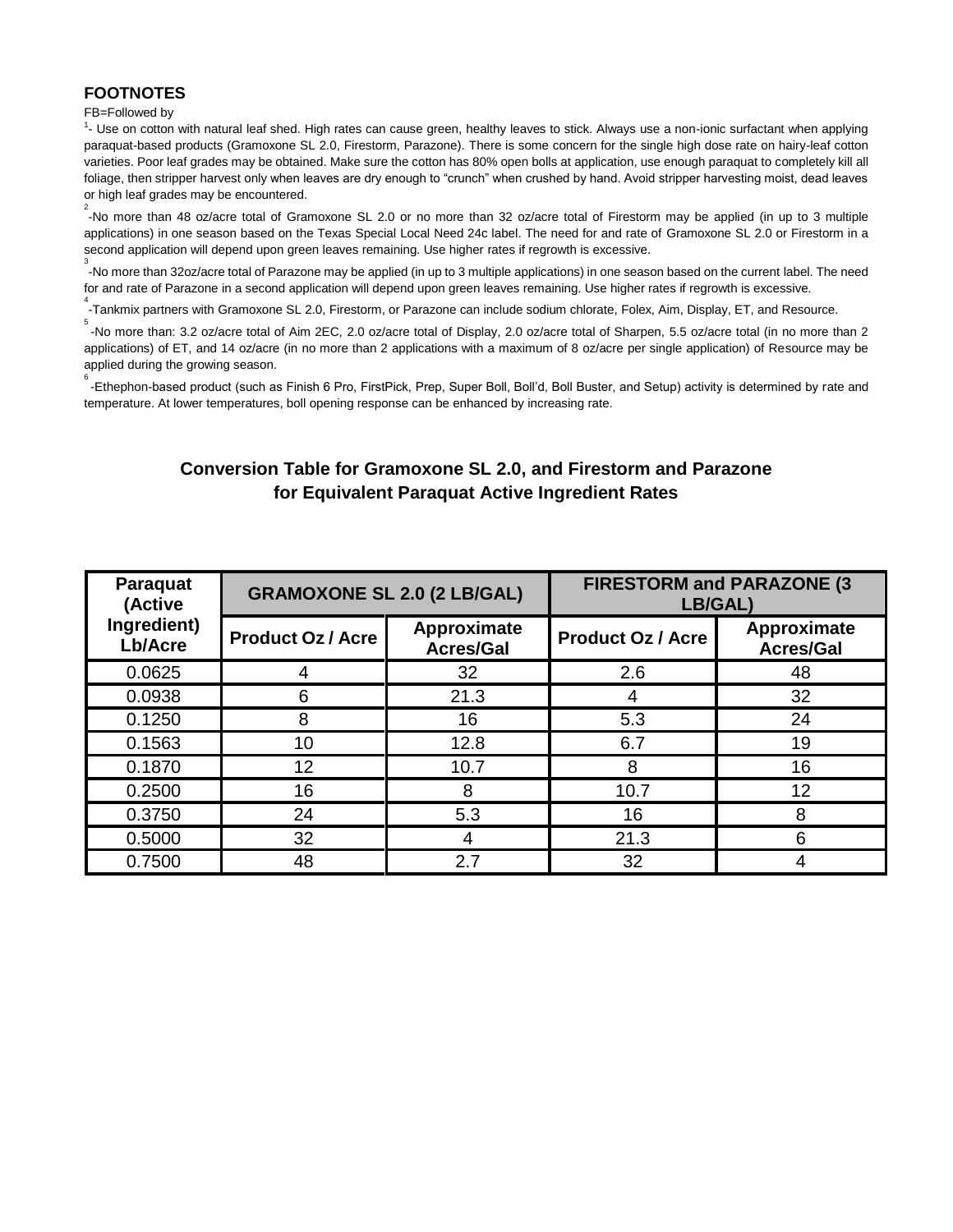## **FOOTNOTES**

#### FB=Followed by

<sup>1</sup>- Use on cotton with natural leaf shed. High rates can cause green, healthy leaves to stick. Always use a non-ionic surfactant when applying paraquat-based products (Gramoxone SL 2.0, Firestorm, Parazone). There is some concern for the single high dose rate on hairy-leaf cotton varieties. Poor leaf grades may be obtained. Make sure the cotton has 80% open bolls at application, use enough paraquat to completely kill all foliage, then stripper harvest only when leaves are dry enough to "crunch" when crushed by hand. Avoid stripper harvesting moist, dead leaves or high leaf grades may be encountered.

2 -No more than 48 oz/acre total of Gramoxone SL 2.0 or no more than 32 oz/acre total of Firestorm may be applied (in up to 3 multiple applications) in one season based on the Texas Special Local Need 24c label. The need for and rate of Gramoxone SL 2.0 or Firestorm in a second application will depend upon green leaves remaining. Use higher rates if regrowth is excessive.

3 -No more than 32oz/acre total of Parazone may be applied (in up to 3 multiple applications) in one season based on the current label. The need for and rate of Parazone in a second application will depend upon green leaves remaining. Use higher rates if regrowth is excessive.

4 -Tankmix partners with Gramoxone SL 2.0, Firestorm, or Parazone can include sodium chlorate, Folex, Aim, Display, ET, and Resource.

5 -No more than: 3.2 oz/acre total of Aim 2EC, 2.0 oz/acre total of Display, 2.0 oz/acre total of Sharpen, 5.5 oz/acre total (in no more than 2 applications) of ET, and 14 oz/acre (in no more than 2 applications with a maximum of 8 oz/acre per single application) of Resource may be applied during the growing season.

6 -Ethephon-based product (such as Finish 6 Pro, FirstPick, Prep, Super Boll, Boll'd, Boll Buster, and Setup) activity is determined by rate and temperature. At lower temperatures, boll opening response can be enhanced by increasing rate.

# **Conversion Table for Gramoxone SL 2.0, and Firestorm and Parazone for Equivalent Paraquat Active Ingredient Rates**

| Paraquat<br>(Active    | <b>GRAMOXONE SL 2.0 (2 LB/GAL)</b> |                                 | <b>FIRESTORM and PARAZONE (3)</b><br>LB/GAL) |                                 |
|------------------------|------------------------------------|---------------------------------|----------------------------------------------|---------------------------------|
| Ingredient)<br>Lb/Acre | <b>Product Oz / Acre</b>           | Approximate<br><b>Acres/Gal</b> | <b>Product Oz / Acre</b>                     | Approximate<br><b>Acres/Gal</b> |
| 0.0625                 | 4                                  | 32                              | 2.6                                          | 48                              |
| 0.0938                 | 6                                  | 21.3                            | 4                                            | 32                              |
| 0.1250                 | 8                                  | 16                              | 5.3                                          | 24                              |
| 0.1563                 | 10                                 | 12.8                            | 6.7                                          | 19                              |
| 0.1870                 | 12                                 | 10.7                            | 8                                            | 16                              |
| 0.2500                 | 16                                 | 8                               | 10.7                                         | 12                              |
| 0.3750                 | 24                                 | 5.3                             | 16                                           | 8                               |
| 0.5000                 | 32                                 |                                 | 21.3                                         | 6                               |
| 0.7500                 | 48                                 | 2.7                             | 32                                           | 4                               |